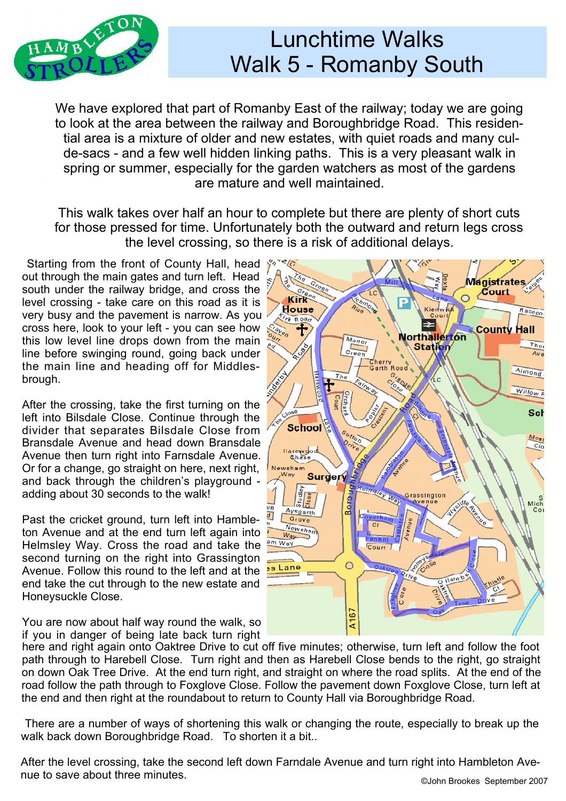

## Lunchtime Walks Walk 5 - Romanby South

We have explored that part of Romanby East of the railway; today we are going to look at the area between the railway and Boroughbridge Road. This residential area is a mixture of older and new estates, with quiet roads and many culde-sacs - and a few well hidden linking paths. This is a very pleasant walk in spring or summer, especially for the garden watchers as most of the gardens are mature and well maintained.

This walk takes over half an hour to complete but there are plenty of short cuts for those pressed for time. Unfortunately both the outward and return legs cross the level crossing, so there is a risk of additional delays.

 Starting from the front of County Hall, head out through the main gates and turn left. Head south under the railway bridge, and cross the level crossing - take care on this road as it is very busy and the pavement is narrow. As you cross here, look to your left - you can see how this low level line drops down from the main line before swinging round, going back under the main line and heading off for Middles brough.

After the crossing, take the first turning on the left into Bilsdale Close. Continue through the divider that separates Bilsdale Close from **School** Bransdale Avenue and head down Bransdale Avenue then turn right into Farnsdale Avenue. Or for a change, go straight on here, next right, and back through the children's playground adding about 30 seconds to the walk!

Past the cricket ground, turn left into Hambleton Avenue and at the end turn left again into  $\frac{W_{\text{eq}}}{W_{\text{eq}}}$ Helmsley Way. Cross the road and take the second turning on the right into Grassington Avenue. Follow this round to the left and at the end take the cut through to the new estate and Honeysuckle Close.

You are now about half way round the walk, so if you in danger of being late back turn right



here and right again onto Oaktree Drive to cut off five minutes; otherwise, turn left and follow the foot path through to Harebell Close. Turn right and then as Harebell Close bends to the right, go straight on down Oak Tree Drive. At the end turn right, and straight on where the road splits. At the end of the road follow the path through to Foxglove Close. Follow the pavement down Foxglove Close, turn left at the end and then right at the roundabout to return to County Hall via Boroughbridge Road.

 There are a number of ways of shortening this walk or changing the route, especially to break up the walk back down Boroughbridge Road. To shorten it a bit...

After the level crossing, take the second left down Farndale Avenue and turn right into Hambleton Ave nue to save about three minutes.